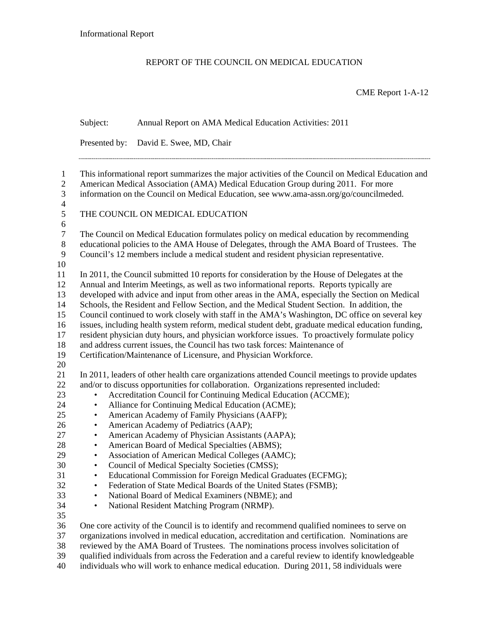## REPORT OF THE COUNCIL ON MEDICAL EDUCATION

CME Report 1-A-12

|                                                                            | Subject:                                                                                                                                                                                                                                                                                                                                                                                                                                                                                | Annual Report on AMA Medical Education Activities: 2011                                                                                                                                                                                                                                                                                                                                                                                                                                                                                                                                                                                                                                                                                                                                                                                               |  |
|----------------------------------------------------------------------------|-----------------------------------------------------------------------------------------------------------------------------------------------------------------------------------------------------------------------------------------------------------------------------------------------------------------------------------------------------------------------------------------------------------------------------------------------------------------------------------------|-------------------------------------------------------------------------------------------------------------------------------------------------------------------------------------------------------------------------------------------------------------------------------------------------------------------------------------------------------------------------------------------------------------------------------------------------------------------------------------------------------------------------------------------------------------------------------------------------------------------------------------------------------------------------------------------------------------------------------------------------------------------------------------------------------------------------------------------------------|--|
|                                                                            | Presented by:                                                                                                                                                                                                                                                                                                                                                                                                                                                                           | David E. Swee, MD, Chair                                                                                                                                                                                                                                                                                                                                                                                                                                                                                                                                                                                                                                                                                                                                                                                                                              |  |
| $\mathbf{1}$<br>$\mathbf{2}$<br>3                                          | This informational report summarizes the major activities of the Council on Medical Education and<br>American Medical Association (AMA) Medical Education Group during 2011. For more<br>information on the Council on Medical Education, see www.ama-assn.org/go/councilmeded.                                                                                                                                                                                                         |                                                                                                                                                                                                                                                                                                                                                                                                                                                                                                                                                                                                                                                                                                                                                                                                                                                       |  |
| $\overline{\mathcal{A}}$<br>$\mathfrak{S}$                                 | THE COUNCIL ON MEDICAL EDUCATION                                                                                                                                                                                                                                                                                                                                                                                                                                                        |                                                                                                                                                                                                                                                                                                                                                                                                                                                                                                                                                                                                                                                                                                                                                                                                                                                       |  |
| 6<br>$\tau$<br>$8\,$<br>9                                                  | The Council on Medical Education formulates policy on medical education by recommending<br>educational policies to the AMA House of Delegates, through the AMA Board of Trustees. The<br>Council's 12 members include a medical student and resident physician representative.                                                                                                                                                                                                          |                                                                                                                                                                                                                                                                                                                                                                                                                                                                                                                                                                                                                                                                                                                                                                                                                                                       |  |
| 10<br>11<br>12<br>13<br>14<br>15<br>16<br>17<br>18<br>19                   |                                                                                                                                                                                                                                                                                                                                                                                                                                                                                         | In 2011, the Council submitted 10 reports for consideration by the House of Delegates at the<br>Annual and Interim Meetings, as well as two informational reports. Reports typically are<br>developed with advice and input from other areas in the AMA, especially the Section on Medical<br>Schools, the Resident and Fellow Section, and the Medical Student Section. In addition, the<br>Council continued to work closely with staff in the AMA's Washington, DC office on several key<br>issues, including health system reform, medical student debt, graduate medical education funding,<br>resident physician duty hours, and physician workforce issues. To proactively formulate policy<br>and address current issues, the Council has two task forces: Maintenance of<br>Certification/Maintenance of Licensure, and Physician Workforce. |  |
| 20<br>21<br>22<br>23<br>24<br>25<br>26<br>27<br>28<br>29<br>30<br>31<br>32 | ٠<br>$\bullet$<br>$\bullet$<br>$\bullet$<br>$\bullet$<br>$\bullet$<br>$\bullet$<br>$\bullet$                                                                                                                                                                                                                                                                                                                                                                                            | In 2011, leaders of other health care organizations attended Council meetings to provide updates<br>and/or to discuss opportunities for collaboration. Organizations represented included:<br>Accreditation Council for Continuing Medical Education (ACCME);<br>Alliance for Continuing Medical Education (ACME);<br>American Academy of Family Physicians (AAFP);<br>American Academy of Pediatrics (AAP);<br>American Academy of Physician Assistants (AAPA);<br>American Board of Medical Specialties (ABMS);<br>Association of American Medical Colleges (AAMC);<br>Council of Medical Specialty Societies (CMSS);<br>Educational Commission for Foreign Medical Graduates (ECFMG);<br>Federation of State Medical Boards of the United States (FSMB);                                                                                           |  |
| 33<br>34<br>35                                                             | $\bullet$<br>$\bullet$                                                                                                                                                                                                                                                                                                                                                                                                                                                                  | National Board of Medical Examiners (NBME); and<br>National Resident Matching Program (NRMP).                                                                                                                                                                                                                                                                                                                                                                                                                                                                                                                                                                                                                                                                                                                                                         |  |
| 36<br>37<br>38<br>39<br>40                                                 | One core activity of the Council is to identify and recommend qualified nominees to serve on<br>organizations involved in medical education, accreditation and certification. Nominations are<br>reviewed by the AMA Board of Trustees. The nominations process involves solicitation of<br>qualified individuals from across the Federation and a careful review to identify knowledgeable<br>individuals who will work to enhance medical education. During 2011, 58 individuals were |                                                                                                                                                                                                                                                                                                                                                                                                                                                                                                                                                                                                                                                                                                                                                                                                                                                       |  |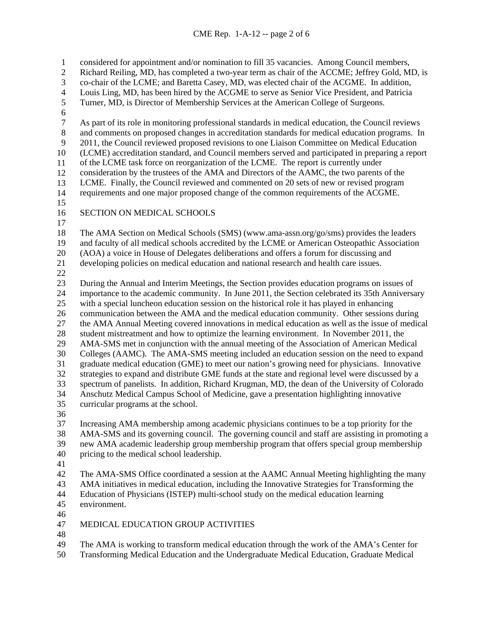considered for appointment and/or nomination to fill 35 vacancies. Among Council members, Richard Reiling, MD, has completed a two-year term as chair of the ACCME; Jeffrey Gold, MD, is co-chair of the LCME; and Baretta Casey, MD, was elected chair of the ACGME. In addition, Louis Ling, MD, has been hired by the ACGME to serve as Senior Vice President, and Patricia Turner, MD, is Director of Membership Services at the American College of Surgeons. 1 2 3 4 5 6 7 8 9 10 11 12 13 14 15 16 17 18 19 20 21 22 23 24 25 26 27 28 29 30 31 32 33 34 35 36 37 38 39 40 41 42 43 44 45 46 47 48 49 As part of its role in monitoring professional standards in medical education, the Council reviews and comments on proposed changes in accreditation standards for medical education programs. In 2011, the Council reviewed proposed revisions to one Liaison Committee on Medical Education (LCME) accreditation standard, and Council members served and participated in preparing a report of the LCME task force on reorganization of the LCME. The report is currently under consideration by the trustees of the AMA and Directors of the AAMC, the two parents of the LCME. Finally, the Council reviewed and commented on 20 sets of new or revised program requirements and one major proposed change of the common requirements of the ACGME. SECTION ON MEDICAL SCHOOLS The AMA Section on Medical Schools (SMS) (www.ama-assn.org/go/sms) provides the leaders and faculty of all medical schools accredited by the LCME or American Osteopathic Association (AOA) a voice in House of Delegates deliberations and offers a forum for discussing and developing policies on medical education and national research and health care issues. During the Annual and Interim Meetings, the Section provides education programs on issues of importance to the academic community. In June 2011, the Section celebrated its 35th Anniversary with a special luncheon education session on the historical role it has played in enhancing communication between the AMA and the medical education community. Other sessions during the AMA Annual Meeting covered innovations in medical education as well as the issue of medical student mistreatment and how to optimize the learning environment. In November 2011, the AMA-SMS met in conjunction with the annual meeting of the Association of American Medical Colleges (AAMC). The AMA-SMS meeting included an education session on the need to expand graduate medical education (GME) to meet our nation's growing need for physicians. Innovative strategies to expand and distribute GME funds at the state and regional level were discussed by a spectrum of panelists. In addition, Richard Krugman, MD, the dean of the University of Colorado Anschutz Medical Campus School of Medicine, gave a presentation highlighting innovative curricular programs at the school. Increasing AMA membership among academic physicians continues to be a top priority for the AMA-SMS and its governing council. The governing council and staff are assisting in promoting a new AMA academic leadership group membership program that offers special group membership pricing to the medical school leadership. The AMA-SMS Office coordinated a session at the AAMC Annual Meeting highlighting the many AMA initiatives in medical education, including the Innovative Strategies for Transforming the Education of Physicians (ISTEP) multi-school study on the medical education learning environment. MEDICAL EDUCATION GROUP ACTIVITIES The AMA is working to transform medical education through the work of the AMA's Center for

50 Transforming Medical Education and the Undergraduate Medical Education, Graduate Medical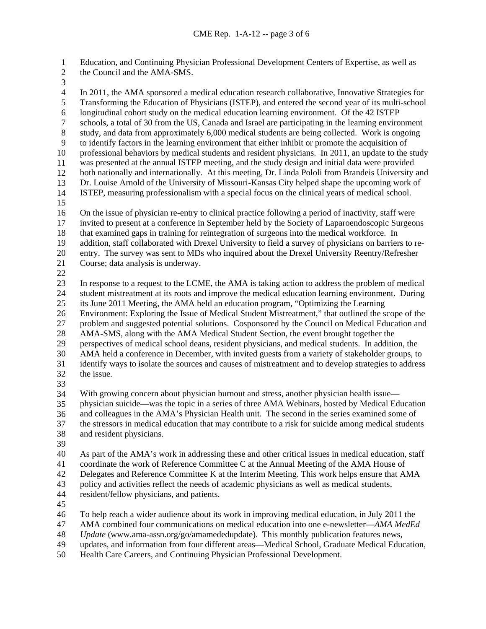Education, and Continuing Physician Professional Development Centers of Expertise, as well as the Council and the AMA-SMS. 1 2

3 4 5 6 7 8 9 10 11 12 13 14 15 16 17 18 19 20 21 22 23 24 25 26 27 28 29 30 31 32 33 34 35 36 37 38 39 40 41 42 43 44 In 2011, the AMA sponsored a medical education research collaborative, Innovative Strategies for Transforming the Education of Physicians (ISTEP), and entered the second year of its multi-school longitudinal cohort study on the medical education learning environment. Of the 42 ISTEP schools, a total of 30 from the US, Canada and Israel are participating in the learning environment study, and data from approximately 6,000 medical students are being collected. Work is ongoing to identify factors in the learning environment that either inhibit or promote the acquisition of professional behaviors by medical students and resident physicians. In 2011, an update to the study was presented at the annual ISTEP meeting, and the study design and initial data were provided both nationally and internationally. At this meeting, Dr. Linda Pololi from Brandeis University and Dr. Louise Arnold of the University of Missouri-Kansas City helped shape the upcoming work of ISTEP, measuring professionalism with a special focus on the clinical years of medical school. On the issue of physician re-entry to clinical practice following a period of inactivity, staff were invited to present at a conference in September held by the Society of Laparoendoscopic Surgeons that examined gaps in training for reintegration of surgeons into the medical workforce. In addition, staff collaborated with Drexel University to field a survey of physicians on barriers to reentry. The survey was sent to MDs who inquired about the Drexel University Reentry/Refresher Course; data analysis is underway. In response to a request to the LCME, the AMA is taking action to address the problem of medical student mistreatment at its roots and improve the medical education learning environment. During its June 2011 Meeting, the AMA held an education program, "Optimizing the Learning Environment: Exploring the Issue of Medical Student Mistreatment," that outlined the scope of the problem and suggested potential solutions. Cosponsored by the Council on Medical Education and AMA-SMS, along with the AMA Medical Student Section, the event brought together the perspectives of medical school deans, resident physicians, and medical students. In addition, the AMA held a conference in December, with invited guests from a variety of stakeholder groups, to identify ways to isolate the sources and causes of mistreatment and to develop strategies to address the issue. With growing concern about physician burnout and stress, another physician health issue physician suicide—was the topic in a series of three AMA Webinars, hosted by Medical Education and colleagues in the AMA's Physician Health unit. The second in the series examined some of the stressors in medical education that may contribute to a risk for suicide among medical students and resident physicians. As part of the AMA's work in addressing these and other critical issues in medical education, staff coordinate the work of Reference Committee C at the Annual Meeting of the AMA House of Delegates and Reference Committee K at the Interim Meeting. This work helps ensure that AMA policy and activities reflect the needs of academic physicians as well as medical students, resident/fellow physicians, and patients.

45

46 To help reach a wider audience about its work in improving medical education, in July 2011 the

47 AMA combined four communications on medical education into one e-newsletter—*AMA MedEd* 

48 *Update* (www.ama-assn.org/go/amamededupdate). This monthly publication features news,

49 updates, and information from four different areas—Medical School, Graduate Medical Education,

50 Health Care Careers, and Continuing Physician Professional Development.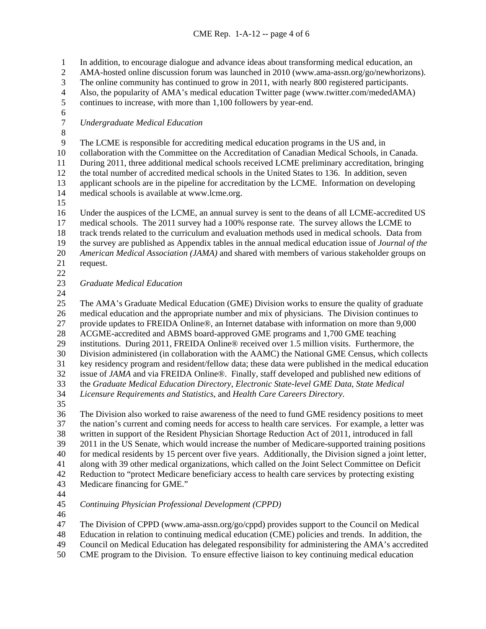In addition, to encourage dialogue and advance ideas about transforming medical education, an 1

AMA-hosted online discussion forum was launched in 2010 (www.ama-assn.org/go/newhorizons). 2

The online community has continued to grow in 2011, with nearly 800 registered participants. 3

Also, the popularity of AMA's medical education [Twitter page](http://twitter.com/#!/MedEdAMA) (www.twitter.com/mededAMA) 4

5 continues to increase, with more than 1,100 followers by year-end.

6 7

*Undergraduate Medical Education* 

8

9 The LCME is responsible for accrediting medical education programs in the US and, in

10 collaboration with the Committee on the Accreditation of Canadian Medical Schools, in Canada.

11 During 2011, three additional medical schools received LCME preliminary accreditation, bringing

12 the total number of accredited medical schools in the United States to 136. In addition, seven

13 14 applicant schools are in the pipeline for accreditation by the LCME. Information on developing medical schools is available at www.lcme.org.

15

16 17 18 19 Under the auspices of the LCME, an annual survey is sent to the deans of all LCME-accredited US medical schools. The 2011 survey had a 100% response rate. The survey allows the LCME to track trends related to the curriculum and evaluation methods used in medical schools. Data from the survey are published as Appendix tables in the annual medical education issue of *Journal of the* 

20 *American Medical Association (JAMA)* and shared with members of various stakeholder groups on request.

- 21
- 22

23 *Graduate Medical Education* 

24

25 26 27 28 29 30 31 32 33 34 35 The AMA's Graduate Medical Education (GME) Division works to ensure the quality of graduate medical education and the appropriate number and mix of physicians. The Division continues to provide updates to FREIDA Online®, an Internet database with information on more than 9,000 ACGME-accredited and ABMS board-approved GME programs and 1,700 GME teaching institutions. During 2011, FREIDA Online® received over 1.5 million visits. Furthermore, the Division administered (in collaboration with the AAMC) the National GME Census, which collects key residency program and resident/fellow data; these data were published in the medical education issue of *JAMA* and via FREIDA Online®. Finally, staff developed and published new editions of the *Graduate Medical Education Directory*, *Electronic State-level GME Data*, *State Medical Licensure Requirements and Statistics*, and *Health Care Careers Directory*.

36 37 38 39 40 41 42 43 The Division also worked to raise awareness of the need to fund GME residency positions to meet the nation's current and coming needs for access to health care services. For example, a letter was written in support of the Resident Physician Shortage Reduction Act of 2011, introduced in fall 2011 in the US Senate, which would increase the number of Medicare-supported training positions for medical residents by 15 percent over five years. Additionally, the Division signed a joint letter, along with 39 other medical organizations, which called on the Joint Select Committee on Deficit Reduction to "protect Medicare beneficiary access to health care services by protecting existing Medicare financing for GME."

44

45 *Continuing Physician Professional Development (CPPD)* 

46

47 The Division of CPPD (www.ama-assn.org/go/cppd) provides support to the Council on Medical

48 Education in relation to continuing medical education (CME) policies and trends. In addition, the

49 Council on Medical Education has delegated responsibility for administering the AMA's accredited

50 CME program to the Division. To ensure effective liaison to key continuing medical education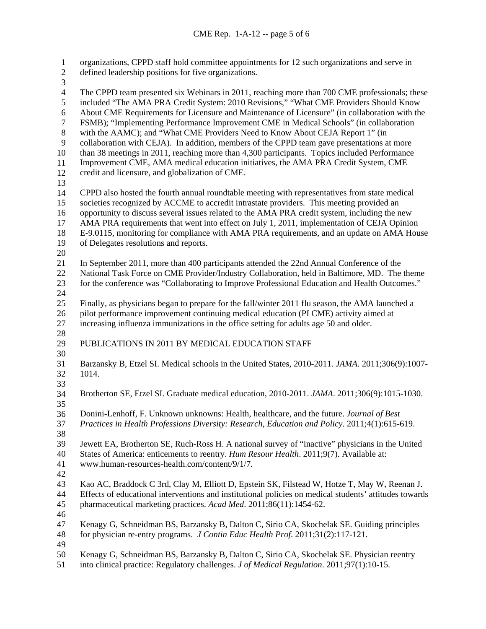organizations, CPPD staff hold committee appointments for 12 such organizations and serve in defined leadership positions for five organizations. 1 2 3 4 5 6 7 8 9 10 11 12 13 14 15 16 17 18 19 20 21 22 23 24 25 26 27 28 29 30 31 32 33 34 35 36 37 38 39 40 41 42 43 44 45 46 47 48 49 50 The CPPD team presented six Webinars in 2011, reaching more than 700 CME professionals; these included "The AMA PRA Credit System: 2010 Revisions," "What CME Providers Should Know About CME Requirements for Licensure and Maintenance of Licensure" (in collaboration with the FSMB); "Implementing Performance Improvement CME in Medical Schools" (in collaboration with the AAMC); and "What CME Providers Need to Know About CEJA Report 1" (in collaboration with CEJA). In addition, members of the CPPD team gave presentations at more than 38 meetings in 2011, reaching more than 4,300 participants. Topics included Performance Improvement CME, AMA medical education initiatives, the AMA PRA Credit System, CME credit and licensure, and globalization of CME. CPPD also hosted the fourth annual roundtable meeting with representatives from state medical societies recognized by ACCME to accredit intrastate providers. This meeting provided an opportunity to discuss several issues related to the AMA PRA credit system, including the new AMA PRA requirements that went into effect on July 1, 2011, implementation of CEJA Opinion E-9.0115, monitoring for compliance with AMA PRA requirements, and an update on AMA House of Delegates resolutions and reports. In September 2011, more than 400 participants attended the 22nd Annual Conference of the National Task Force on CME Provider/Industry Collaboration, held in Baltimore, MD. The theme for the conference was "Collaborating to Improve Professional Education and Health Outcomes." Finally, as physicians began to prepare for the fall/winter 2011 flu season, the AMA launched a pilot performance improvement continuing medical education (PI CME) activity aimed at increasing influenza immunizations in the office setting for adults age 50 and older. PUBLICATIONS IN 2011 BY MEDICAL EDUCATION STAFF Barzansky B, Etzel SI. Medical schools in the United States, 2010-2011. *JAMA*. 2011;306(9):1007- 1014. Brotherton SE, Etzel SI. Graduate medical education, 2010-2011. *JAMA*. 2011;306(9):1015-1030. Donini-Lenhoff, F. Unknown unknowns: Health, healthcare, and the future. *Journal of Best Practices in Health Professions Diversity: Research, Education and Policy*. 2011;4(1):615-619. Jewett EA, Brotherton SE, Ruch-Ross H. A national survey of "inactive" physicians in the United States of America: enticements to reentry. *Hum Resour Health*. 2011;9(7). Available at: www.human-resources-health.com/content/9/1/7. Kao AC, Braddock C 3rd, Clay M, Elliott D, Epstein SK, Filstead W, Hotze T, May W, Reenan J. Effects of educational interventions and institutional policies on medical students' attitudes towards pharmaceutical marketing practices. *Acad Med*. 2011;86(11):1454-62. Kenagy G, Schneidman BS, Barzansky B, Dalton C, Sirio CA, Skochelak SE. Guiding principles for physician re-entry programs. *J Contin Educ Health Prof*. 2011;31(2):117-121. Kenagy G, Schneidman BS, Barzansky B, Dalton C, Sirio CA, Skochelak SE. Physician reentry

51 into clinical practice: Regulatory challenges. *J of Medical Regulation*. 2011;97(1):10-15.